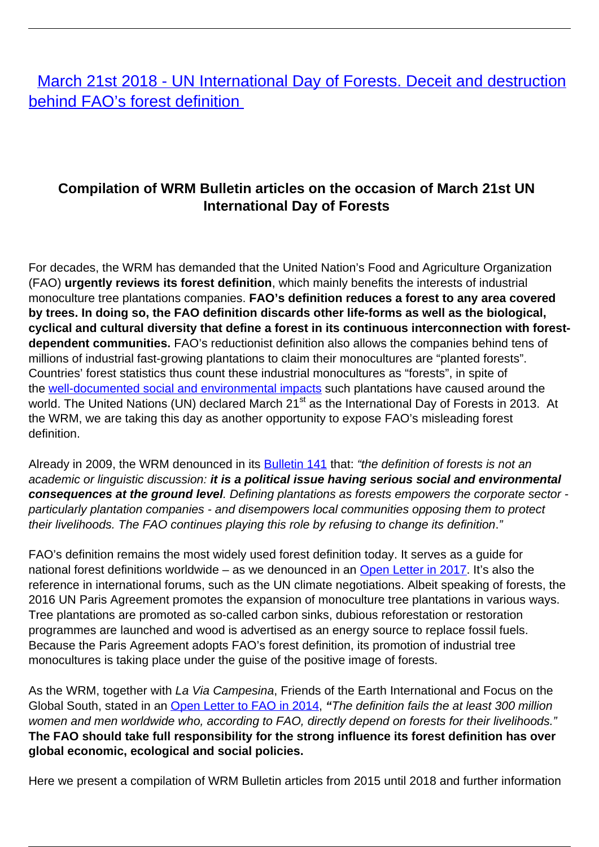[March 21st 2018 - UN International Day of Forests. Deceit and destruction](/all-campaigns/deceit-and-destruction-behind-faos-forest-definition-march-21st-2018-un-international-day-of-forests) [behind FAO's forest definition](/all-campaigns/deceit-and-destruction-behind-faos-forest-definition-march-21st-2018-un-international-day-of-forests)

## **Compilation of WRM Bulletin articles on the occasion of March 21st UN International Day of Forests**

For decades, the WRM has demanded that the United Nation's Food and Agriculture Organization (FAO) **urgently reviews its forest definition**, which mainly benefits the interests of industrial monoculture tree plantations companies. **FAO's definition reduces a forest to any area covered by trees. In doing so, the FAO definition discards other life-forms as well as the biological, cyclical and cultural diversity that define a forest in its continuous interconnection with forestdependent communities.** FAO's reductionist definition also allows the companies behind tens of millions of industrial fast-growing plantations to claim their monocultures are "planted forests". Countries' forest statistics thus count these industrial monocultures as "forests", in spite of the [well-documented social and environmental impacts](https://wrm.us9.list-manage.com/track/click?u=f91b651f7fecdf835b57dc11d&id=655b623d9c&e=08ad7e6520) such plantations have caused around the world. The United Nations (UN) declared March 21<sup>st</sup> as the International Day of Forests in 2013. At the WRM, we are taking this day as another opportunity to expose FAO's misleading forest definition.

Already in 2009, the WRM denounced in its **Bulletin 141** that: "the definition of forests is not an academic or linguistic discussion: **it is a political issue having serious social and environmental consequences at the ground level**. Defining plantations as forests empowers the corporate sector particularly plantation companies - and disempowers local communities opposing them to protect their livelihoods. The FAO continues playing this role by refusing to change its definition."

FAO's definition remains the most widely used forest definition today. It serves as a guide for national forest definitions worldwide – as we denounced in an [Open Letter in 2017.](https://wrm.us9.list-manage.com/track/click?u=f91b651f7fecdf835b57dc11d&id=32956fb5bb&e=08ad7e6520) It's also the reference in international forums, such as the UN climate negotiations. Albeit speaking of forests, the 2016 UN Paris Agreement promotes the expansion of monoculture tree plantations in various ways. Tree plantations are promoted as so-called carbon sinks, dubious reforestation or restoration programmes are launched and wood is advertised as an energy source to replace fossil fuels. Because the Paris Agreement adopts FAO's forest definition, its promotion of industrial tree monocultures is taking place under the guise of the positive image of forests.

As the WRM, together with La Via Campesina, Friends of the Earth International and Focus on the Global South, stated in an [Open Letter to FAO in 2014](https://wrm.us9.list-manage.com/track/click?u=f91b651f7fecdf835b57dc11d&id=7c79863a5a&e=08ad7e6520), **"**The definition fails the at least 300 million women and men worldwide who, according to FAO, directly depend on forests for their livelihoods." **The FAO should take full responsibility for the strong influence its forest definition has over global economic, ecological and social policies.** 

Here we present a compilation of WRM Bulletin articles from 2015 until 2018 and further information